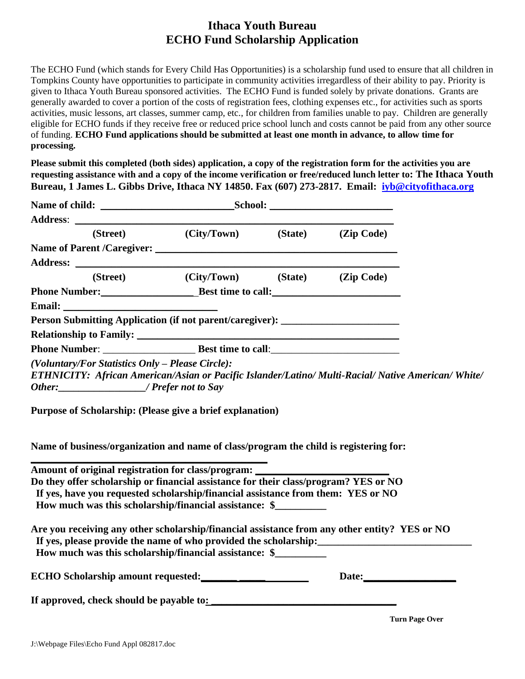## **Ithaca Youth Bureau ECHO Fund Scholarship Application**

The ECHO Fund (which stands for Every Child Has Opportunities) is a scholarship fund used to ensure that all children in Tompkins County have opportunities to participate in community activities irregardless of their ability to pay. Priority is given to Ithaca Youth Bureau sponsored activities. The ECHO Fund is funded solely by private donations. Grants are generally awarded to cover a portion of the costs of registration fees, clothing expenses etc., for activities such as sports activities, music lessons, art classes, summer camp, etc., for children from families unable to pay. Children are generally eligible for ECHO funds if they receive free or reduced price school lunch and costs cannot be paid from any other source of funding. **ECHO Fund applications should be submitted at least one month in advance, to allow time for processing.** 

**Please submit this completed (both sides) application, a copy of the registration form for the activities you are requesting assistance with and a copy of the income verification or free/reduced lunch letter to: The Ithaca Youth Bureau, 1 James L. Gibbs Drive, Ithaca NY 14850. Fax (607) 273-2817. Email: [iyb@cityofithaca.org](mailto:iyb@cityofithaca.org)**

|                                                                                                                                                                                                                                                    | (Street) (City/Town) (State) (Zip Code) |  |  |
|----------------------------------------------------------------------------------------------------------------------------------------------------------------------------------------------------------------------------------------------------|-----------------------------------------|--|--|
|                                                                                                                                                                                                                                                    |                                         |  |  |
|                                                                                                                                                                                                                                                    |                                         |  |  |
|                                                                                                                                                                                                                                                    | (Street) (City/Town) (State) (Zip Code) |  |  |
| Phone Number: Best time to call:                                                                                                                                                                                                                   |                                         |  |  |
|                                                                                                                                                                                                                                                    |                                         |  |  |
| Person Submitting Application (if not parent/caregiver): _______________________                                                                                                                                                                   |                                         |  |  |
| Relationship to Family: <u>contract and a series of the series of the series of the series of the series of the series of the series of the series of the series of the series of the series of the series of the series of the </u>               |                                         |  |  |
|                                                                                                                                                                                                                                                    |                                         |  |  |
| (Voluntary/For Statistics Only - Please Circle):<br>ETHNICITY: African American/Asian or Pacific Islander/Latino/ Multi-Racial/ Native American/ White/<br>Other: / Prefer not to Say<br>Purpose of Scholarship: (Please give a brief explanation) |                                         |  |  |
| Name of business/organization and name of class/program the child is registering for:                                                                                                                                                              |                                         |  |  |
| Amount of original registration for class/program: _______                                                                                                                                                                                         |                                         |  |  |
| Do they offer scholarship or financial assistance for their class/program? YES or NO                                                                                                                                                               |                                         |  |  |
| If yes, have you requested scholarship/financial assistance from them: YES or NO<br>How much was this scholarship/financial assistance: \$                                                                                                         |                                         |  |  |
| Are you receiving any other scholarship/financial assistance from any other entity? YES or NO<br>If yes, please provide the name of who provided the scholarship:<br><u>If</u> yes, please provide the name of who provided the scholarship:       |                                         |  |  |
| How much was this scholarship/financial assistance: \$                                                                                                                                                                                             |                                         |  |  |

| <b>ECHO Scholarship amount requested:</b> | Date: |
|-------------------------------------------|-------|
| If approved, check should be payable to:  |       |

**Turn Page Over**